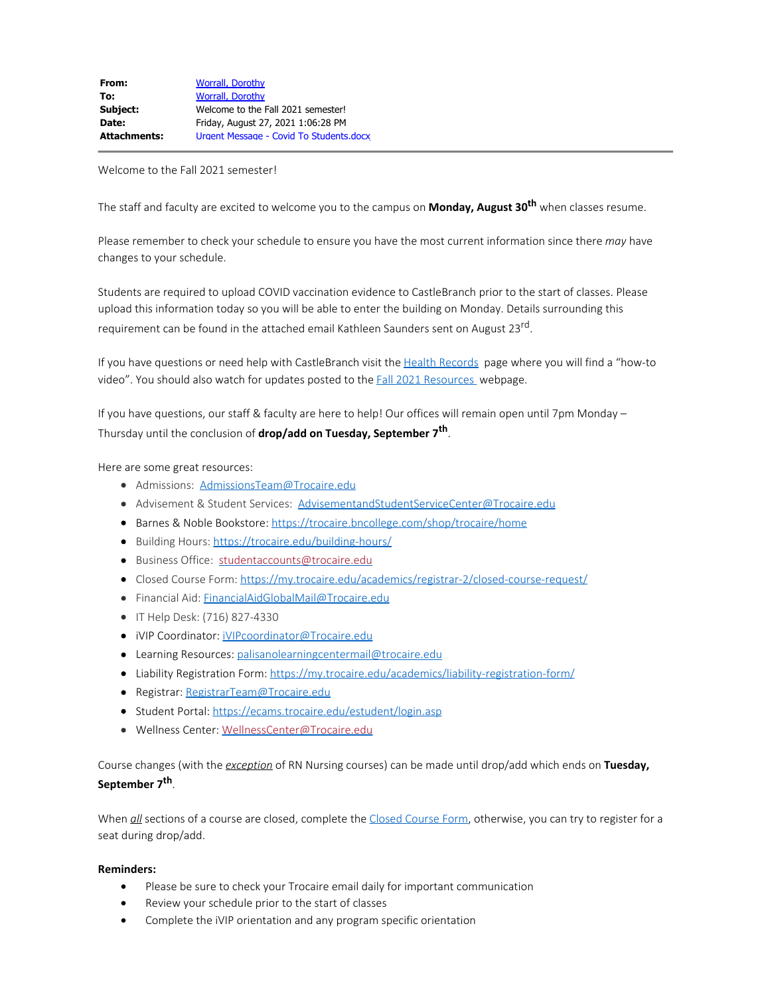Welcome to the Fall 2021 semester!

The staff and faculty are excited to welcome you to the campus on **Monday, August 30th** when classes resume.

Please remember to check your schedule to ensure you have the most current information since there *may* have changes to your schedule.

Students are required to upload COVID vaccination evidence to CastleBranch prior to the start of classes. Please upload this information today so you will be able to enter the building on Monday. Details surrounding this requirement can be found in the attached email Kathleen Saunders sent on August 23<sup>rd</sup>.

If you have questions or need help with CastleBranch visit the [Health Records](https://my.trocaire.edu/student-services/health-office/) page where you will find a "how-to video". You should also watch for updates posted to the **Fall 2021 Resources** webpage.

If you have questions, our staff & faculty are here to help! Our offices will remain open until 7pm Monday – Thursday until the conclusion of **drop/add on Tuesday, September 7th**.

Here are some great resources:

- Admissions: [AdmissionsTeam@Trocaire.edu](mailto:AdmissionsTeam@Trocaire.edu)
- Advisement & Student Services: [AdvisementandStudentServiceCenter@Trocaire.edu](mailto:AdvisementandStudentServiceCenter@Trocaire.edu)
- **Barnes & Noble Bookstore:**<https://trocaire.bncollege.com/shop/trocaire/home>
- Building Hours: <https://trocaire.edu/building-hours/>
- Business Office: [studentaccounts@trocaire.edu](mailto:studentaccounts@trocaire.edu)
- Closed Course Form: <https://my.trocaire.edu/academics/registrar-2/closed-course-request/>
- Financial Aid: [FinancialAidGlobalMail@Trocaire.edu](mailto:FinancialAidGlobalMail@Trocaire.edu)
- IT Help Desk: (716) 827-4330
- · iVIP Coordinator: [iVIPcoordinator@Trocaire.edu](mailto:iVIPcoordinator@Trocaire.edu)
- **•** Learning Resources: [palisanolearningcentermail@trocaire.edu](mailto:palisanolearningcentermail@trocaire.edu)
- Liability Registration Form: <https://my.trocaire.edu/academics/liability-registration-form/>
- Registrar: [RegistrarTeam@Trocaire.edu](mailto:RegistrarTeam@Trocaire.edu)
- Student Portal:<https://ecams.trocaire.edu/estudent/login.asp>
- · Wellness Center: [WellnessCenter@Trocaire.edu](mailto:WellnessCenter@Trocaire.edu)

Course changes (with the *exception* of RN Nursing courses) can be made until drop/add which ends on **Tuesday, September 7th**.

When *all* sections of a course are closed, complete the [Closed Course Form](https://my.trocaire.edu/academics/registrar-2/closed-course-request/), otherwise, you can try to register for a seat during drop/add.

## **Reminders:**

- · Please be sure to check your Trocaire email daily for important communication
- Review your schedule prior to the start of classes
- Complete the iVIP orientation and any program specific orientation